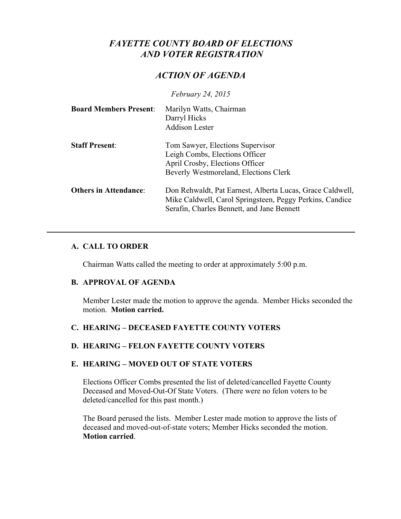# *FAYETTE COUNTY BOARD OF ELECTIONS AND VOTER REGISTRATION*

# *ACTION OF AGENDA*

*February 24, 2015*

| <b>Board Members Present:</b> | Marilyn Watts, Chairman<br>Darryl Hicks<br><b>Addison Lester</b>                                                                                                    |
|-------------------------------|---------------------------------------------------------------------------------------------------------------------------------------------------------------------|
| <b>Staff Present:</b>         | Tom Sawyer, Elections Supervisor<br>Leigh Combs, Elections Officer<br>April Crosby, Elections Officer<br>Beverly Westmoreland, Elections Clerk                      |
| <b>Others in Attendance:</b>  | Don Rehwaldt, Pat Earnest, Alberta Lucas, Grace Caldwell,<br>Mike Caldwell, Carol Springsteen, Peggy Perkins, Candice<br>Serafin, Charles Bennett, and Jane Bennett |

## **A. CALL TO ORDER**

Chairman Watts called the meeting to order at approximately 5:00 p.m.

# **B. APPROVAL OF AGENDA**

Member Lester made the motion to approve the agenda. Member Hicks seconded the motion. **Motion carried.**

## **C. HEARING – DECEASED FAYETTE COUNTY VOTERS**

## **D. HEARING – FELON FAYETTE COUNTY VOTERS**

## **E. HEARING – MOVED OUT OF STATE VOTERS**

Elections Officer Combs presented the list of deleted/cancelled Fayette County Deceased and Moved-Out-Of State Voters. (There were no felon voters to be deleted/cancelled for this past month.)

The Board perused the lists. Member Lester made motion to approve the lists of deceased and moved-out-of-state voters; Member Hicks seconded the motion. **Motion carried**.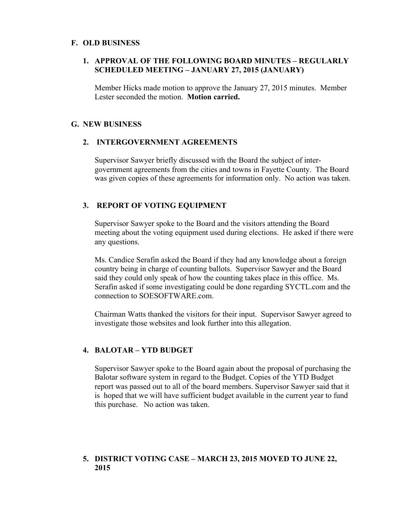#### **F. OLD BUSINESS**

## **1. APPROVAL OF THE FOLLOWING BOARD MINUTES – REGULARLY SCHEDULED MEETING – JANUARY 27, 2015 (JANUARY)**

Member Hicks made motion to approve the January 27, 2015 minutes. Member Lester seconded the motion. **Motion carried.**

#### **G. NEW BUSINESS**

#### **2. INTERGOVERNMENT AGREEMENTS**

Supervisor Sawyer briefly discussed with the Board the subject of intergovernment agreements from the cities and towns in Fayette County. The Board was given copies of these agreements for information only. No action was taken.

# **3. REPORT OF VOTING EQUIPMENT**

Supervisor Sawyer spoke to the Board and the visitors attending the Board meeting about the voting equipment used during elections. He asked if there were any questions.

Ms. Candice Serafin asked the Board if they had any knowledge about a foreign country being in charge of counting ballots. Supervisor Sawyer and the Board said they could only speak of how the counting takes place in this office. Ms. Serafin asked if some investigating could be done regarding SYCTL.com and the connection to SOESOFTWARE.com.

Chairman Watts thanked the visitors for their input. Supervisor Sawyer agreed to investigate those websites and look further into this allegation.

# **4. BALOTAR – YTD BUDGET**

Supervisor Sawyer spoke to the Board again about the proposal of purchasing the Balotar software system in regard to the Budget. Copies of the YTD Budget report was passed out to all of the board members. Supervisor Sawyer said that it is hoped that we will have sufficient budget available in the current year to fund this purchase. No action was taken.

## **5. DISTRICT VOTING CASE – MARCH 23, 2015 MOVED TO JUNE 22, 2015**